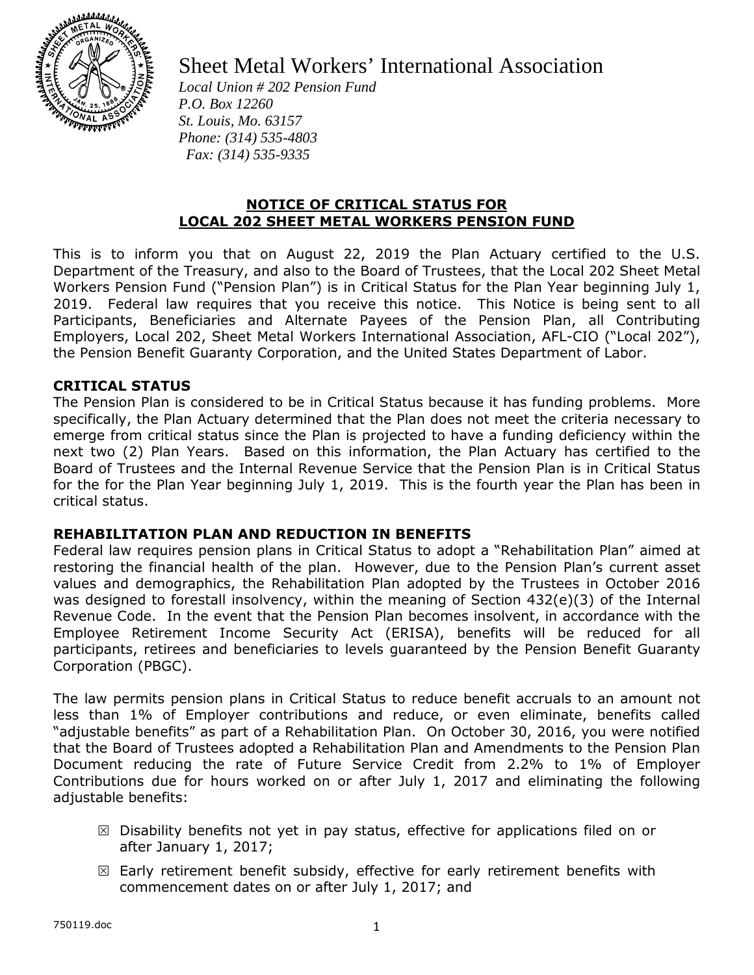

# Sheet Metal Workers' International Association

*Local Union # 202 Pension Fund P.O. Box 12260 St. Louis, Mo. 63157 Phone: (314) 535-4803 Fax: (314) 535-9335* 

# **NOTICE OF CRITICAL STATUS FOR LOCAL 202 SHEET METAL WORKERS PENSION FUND**

This is to inform you that on August 22, 2019 the Plan Actuary certified to the U.S. Department of the Treasury, and also to the Board of Trustees, that the Local 202 Sheet Metal Workers Pension Fund ("Pension Plan") is in Critical Status for the Plan Year beginning July 1, 2019. Federal law requires that you receive this notice. This Notice is being sent to all Participants, Beneficiaries and Alternate Payees of the Pension Plan, all Contributing Employers, Local 202, Sheet Metal Workers International Association, AFL-CIO ("Local 202"), the Pension Benefit Guaranty Corporation, and the United States Department of Labor.

# **CRITICAL STATUS**

The Pension Plan is considered to be in Critical Status because it has funding problems. More specifically, the Plan Actuary determined that the Plan does not meet the criteria necessary to emerge from critical status since the Plan is projected to have a funding deficiency within the next two (2) Plan Years. Based on this information, the Plan Actuary has certified to the Board of Trustees and the Internal Revenue Service that the Pension Plan is in Critical Status for the for the Plan Year beginning July 1, 2019. This is the fourth year the Plan has been in critical status.

### **REHABILITATION PLAN AND REDUCTION IN BENEFITS**

Federal law requires pension plans in Critical Status to adopt a "Rehabilitation Plan" aimed at restoring the financial health of the plan. However, due to the Pension Plan's current asset values and demographics, the Rehabilitation Plan adopted by the Trustees in October 2016 was designed to forestall insolvency, within the meaning of Section 432(e)(3) of the Internal Revenue Code. In the event that the Pension Plan becomes insolvent, in accordance with the Employee Retirement Income Security Act (ERISA), benefits will be reduced for all participants, retirees and beneficiaries to levels guaranteed by the Pension Benefit Guaranty Corporation (PBGC).

The law permits pension plans in Critical Status to reduce benefit accruals to an amount not less than 1% of Employer contributions and reduce, or even eliminate, benefits called "adjustable benefits" as part of a Rehabilitation Plan. On October 30, 2016, you were notified that the Board of Trustees adopted a Rehabilitation Plan and Amendments to the Pension Plan Document reducing the rate of Future Service Credit from 2.2% to 1% of Employer Contributions due for hours worked on or after July 1, 2017 and eliminating the following adjustable benefits:

- $\boxtimes$  Disability benefits not yet in pay status, effective for applications filed on or after January 1, 2017;
- $\boxtimes$  Early retirement benefit subsidy, effective for early retirement benefits with commencement dates on or after July 1, 2017; and